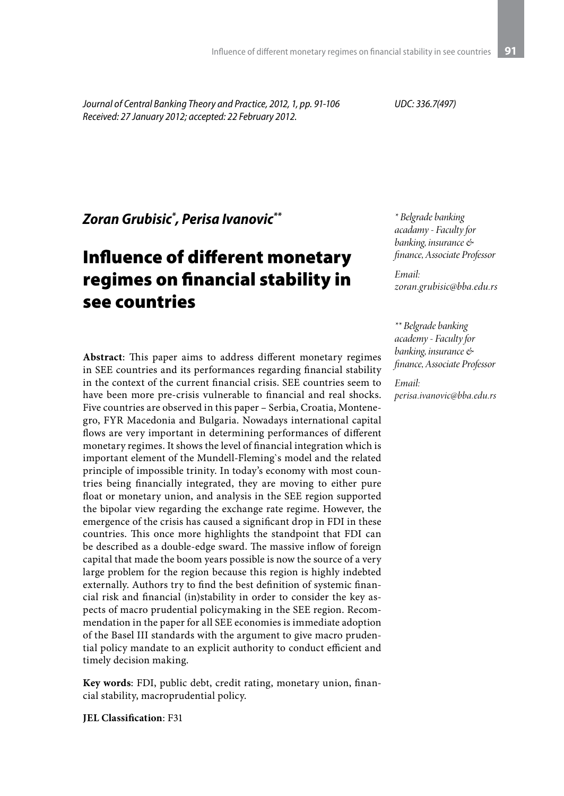*Journal of Central Banking Theory and Practice, 2012, 1, pp. 91-106 Received: 27 January 2012; accepted: 22 February 2012.*

*UDC: 336.7(497)*

*Zoran Grubisic\* , Perisa Ivanovic\*\**

# Influence of different monetary regimes on financial stability in see countries

**Abstract**: This paper aims to address different monetary regimes in SEE countries and its performances regarding financial stability in the context of the current financial crisis. SEE countries seem to have been more pre-crisis vulnerable to financial and real shocks. Five countries are observed in this paper – Serbia, Croatia, Montenegro, FYR Macedonia and Bulgaria. Nowadays international capital flows are very important in determining performances of different monetary regimes. It shows the level of financial integration which is important element of the Mundell-Fleming`s model and the related principle of impossible trinity. In today's economy with most countries being financially integrated, they are moving to either pure float or monetary union, and analysis in the SEE region supported the bipolar view regarding the exchange rate regime. However, the emergence of the crisis has caused a significant drop in FDI in these countries. This once more highlights the standpoint that FDI can be described as a double-edge sward. The massive inflow of foreign capital that made the boom years possible is now the source of a very large problem for the region because this region is highly indebted externally. Authors try to find the best definition of systemic financial risk and financial (in)stability in order to consider the key aspects of macro prudential policymaking in the SEE region. Recommendation in the paper for all SEE economies is immediate adoption of the Basel III standards with the argument to give macro prudential policy mandate to an explicit authority to conduct efficient and timely decision making.

**Key words**: FDI, public debt, credit rating, monetary union, financial stability, macroprudential policy.

**JEL Classification**: F31

*\* Belgrade banking acadamy - Faculty for banking, insurance & finance, Associate Professor*

*Email: zoran.grubisic@bba.edu.rs*

*\*\* Belgrade banking academy - Faculty for banking, insurance & finance, Associate Professor*

*Email: perisa.ivanovic@bba.edu.rs*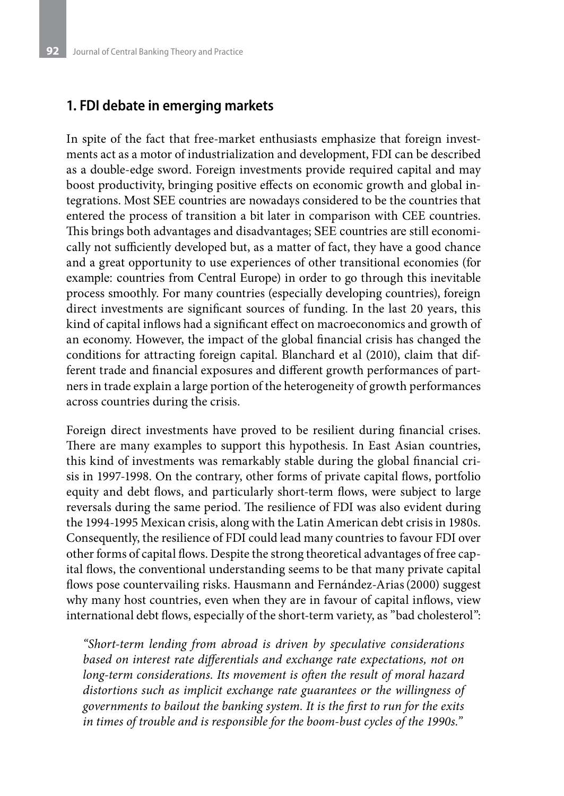#### **1. FDI debate in emerging markets**

In spite of the fact that free-market enthusiasts emphasize that foreign investments act as a motor of industrialization and development, FDI can be described as a double-edge sword. Foreign investments provide required capital and may boost productivity, bringing positive effects on economic growth and global integrations. Most SEE countries are nowadays considered to be the countries that entered the process of transition a bit later in comparison with CEE countries. This brings both advantages and disadvantages; SEE countries are still economically not sufficiently developed but, as a matter of fact, they have a good chance and a great opportunity to use experiences of other transitional economies (for example: countries from Central Europe) in order to go through this inevitable process smoothly. For many countries (especially developing countries), foreign direct investments are significant sources of funding. In the last 20 years, this kind of capital inflows had a significant effect on macroeconomics and growth of an economy. However, the impact of the global financial crisis has changed the conditions for attracting foreign capital. Blanchard et al (2010), claim that different trade and financial exposures and different growth performances of partners in trade explain a large portion of the heterogeneity of growth performances across countries during the crisis.

Foreign direct investments have proved to be resilient during financial crises. There are many examples to support this hypothesis. In East Asian countries, this kind of investments was remarkably stable during the global financial crisis in 1997-1998. On the contrary, other forms of private capital flows, portfolio equity and debt flows, and particularly short-term flows, were subject to large reversals during the same period. The resilience of FDI was also evident during the 1994-1995 Mexican crisis, along with the Latin American debt crisis in 1980s. Consequently, the resilience of FDI could lead many countries to favour FDI over other forms of capital flows. Despite the strong theoretical advantages of free capital flows, the conventional understanding seems to be that many private capital flows pose countervailing risks. Hausmann and Fernández-Arias(2000) suggest why many host countries, even when they are in favour of capital inflows, view international debt flows, especially of the short-term variety, as "bad cholesterol":

*"Short-term lending from abroad is driven by speculative considerations based on interest rate differentials and exchange rate expectations, not on long-term considerations. Its movement is often the result of moral hazard distortions such as implicit exchange rate guarantees or the willingness of governments to bailout the banking system. It is the first to run for the exits in times of trouble and is responsible for the boom-bust cycles of the 1990s."*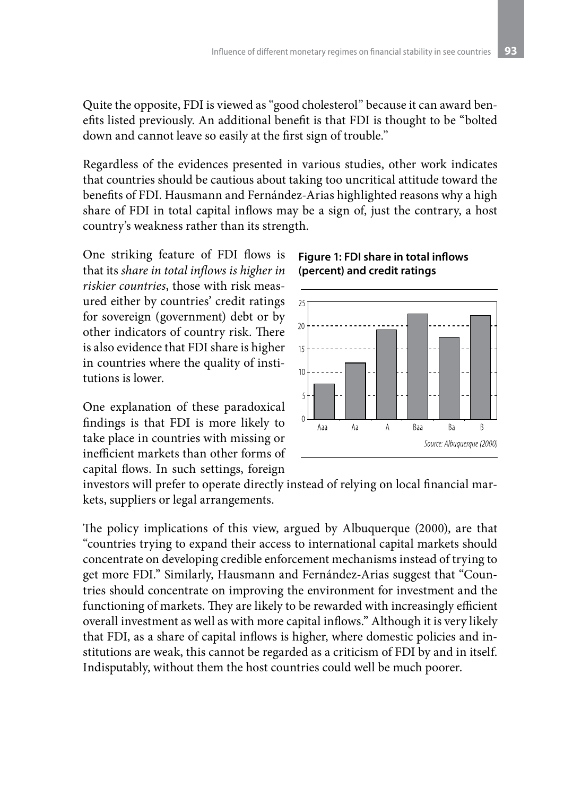Quite the opposite, FDI is viewed as "good cholesterol" because it can award benefits listed previously. An additional benefit is that FDI is thought to be "bolted down and cannot leave so easily at the first sign of trouble."

Regardless of the evidences presented in various studies, other work indicates that countries should be cautious about taking too uncritical attitude toward the benefits of FDI. Hausmann and Fernández-Arias highlighted reasons why a high share of FDI in total capital inflows may be a sign of, just the contrary, a host country's weakness rather than its strength.

One striking feature of FDI flows is that its *share in total inflows is higher in riskier countries*, those with risk measured either by countries' credit ratings for sovereign (government) debt or by other indicators of country risk. There is also evidence that FDI share is higher in countries where the quality of institutions is lower.

One explanation of these paradoxical findings is that FDI is more likely to take place in countries with missing or inefficient markets than other forms of capital flows. In such settings, foreign

#### **Figure 1: FDI share in total inflows (percent) and credit ratings**



investors will prefer to operate directly instead of relying on local financial markets, suppliers or legal arrangements.

The policy implications of this view, argued by Albuquerque (2000), are that "countries trying to expand their access to international capital markets should concentrate on developing credible enforcement mechanisms instead of trying to get more FDI." Similarly, Hausmann and Fernández-Arias suggest that "Countries should concentrate on improving the environment for investment and the functioning of markets. They are likely to be rewarded with increasingly efficient overall investment as well as with more capital inflows." Although it is very likely that FDI, as a share of capital inflows is higher, where domestic policies and institutions are weak, this cannot be regarded as a criticism of FDI by and in itself. Indisputably, without them the host countries could well be much poorer.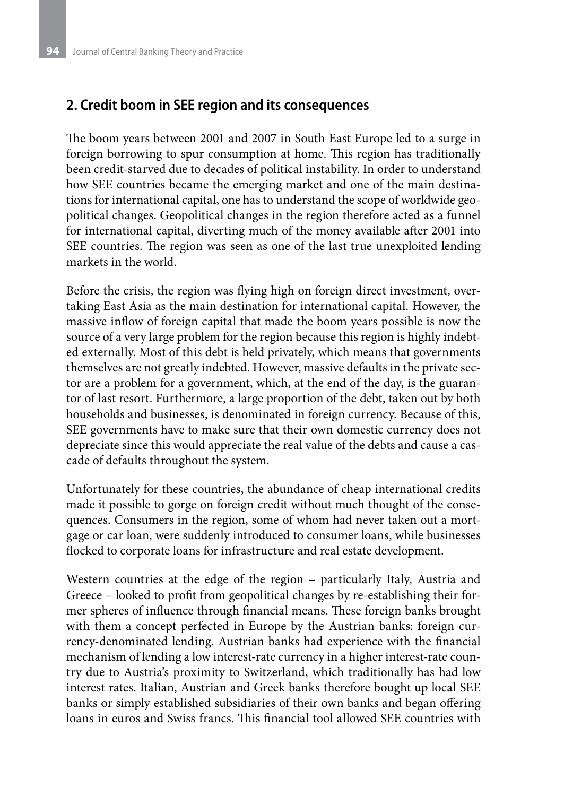### **2. Credit boom in SEE region and its consequences**

The boom years between 2001 and 2007 in South East Europe led to a surge in foreign borrowing to spur consumption at home. This region has traditionally been credit-starved due to decades of political instability. In order to understand how SEE countries became the emerging market and one of the main destinations for international capital, one has to understand the scope of worldwide geopolitical changes. Geopolitical changes in the region therefore acted as a funnel for international capital, diverting much of the money available after 2001 into SEE countries. The region was seen as one of the last true unexploited lending markets in the world.

Before the crisis, the region was flying high on foreign direct investment, overtaking East Asia as the main destination for international capital. However, the massive inflow of foreign capital that made the boom years possible is now the source of a very large problem for the region because this region is highly indebted externally. Most of this debt is held privately, which means that governments themselves are not greatly indebted. However, massive defaults in the private sector are a problem for a government, which, at the end of the day, is the guarantor of last resort. Furthermore, a large proportion of the debt, taken out by both households and businesses, is denominated in foreign currency. Because of this, SEE governments have to make sure that their own domestic currency does not depreciate since this would appreciate the real value of the debts and cause a cascade of defaults throughout the system.

Unfortunately for these countries, the abundance of cheap international credits made it possible to gorge on foreign credit without much thought of the consequences. Consumers in the region, some of whom had never taken out a mortgage or car loan, were suddenly introduced to consumer loans, while businesses flocked to corporate loans for infrastructure and real estate development.

Western countries at the edge of the region – particularly Italy, Austria and Greece – looked to profit from geopolitical changes by re-establishing their former spheres of influence through financial means. These foreign banks brought with them a concept perfected in Europe by the Austrian banks: foreign currency-denominated lending. Austrian banks had experience with the financial mechanism of lending a low interest-rate currency in a higher interest-rate country due to Austria's proximity to Switzerland, which traditionally has had low interest rates. Italian, Austrian and Greek banks therefore bought up local SEE banks or simply established subsidiaries of their own banks and began offering loans in euros and Swiss francs. This financial tool allowed SEE countries with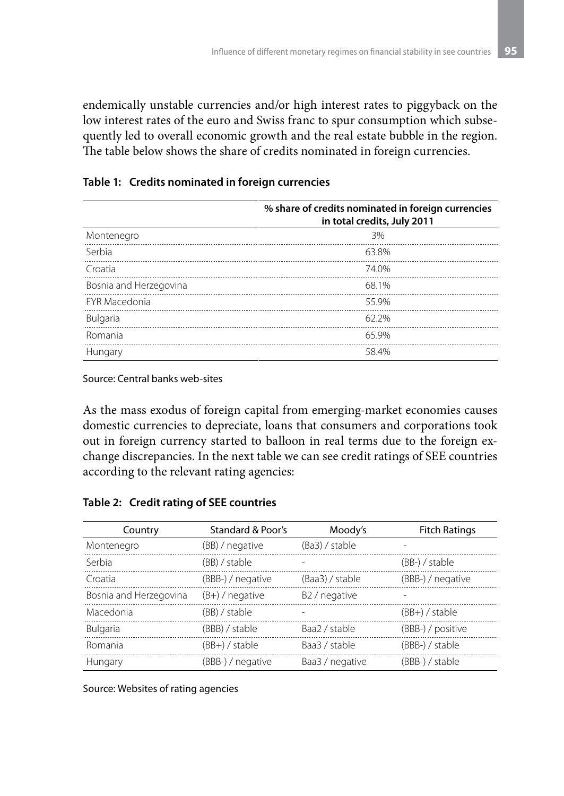endemically unstable currencies and/or high interest rates to piggyback on the low interest rates of the euro and Swiss franc to spur consumption which subsequently led to overall economic growth and the real estate bubble in the region. The table below shows the share of credits nominated in foreign currencies.

#### **Table 1: Credits nominated in foreign currencies**

|                        | % share of credits nominated in foreign currencies<br>in total credits, July 2011 |
|------------------------|-----------------------------------------------------------------------------------|
| Montenegro             | 3%                                                                                |
| Serbia                 | 63.8%                                                                             |
| Croatia                | 74.0%                                                                             |
| Bosnia and Herzegovina | 68.1%                                                                             |
| <b>FYR Macedonia</b>   | 55 9%                                                                             |
| Bulgaria               | 62.2%                                                                             |
| Romania                | 65 9%                                                                             |
| Hungary                | 584%                                                                              |

Source: Central banks web-sites

As the mass exodus of foreign capital from emerging-market economies causes domestic currencies to depreciate, loans that consumers and corporations took out in foreign currency started to balloon in real terms due to the foreign exchange discrepancies. In the next table we can see credit ratings of SEE countries according to the relevant rating agencies:

|  |  |  |  | Table 2: Credit rating of SEE countries |
|--|--|--|--|-----------------------------------------|
|--|--|--|--|-----------------------------------------|

| Country                | Standard & Poor's | Moody's                   | <b>Fitch Ratings</b> |
|------------------------|-------------------|---------------------------|----------------------|
| Montenegro             | (BB) / negative   | (Ba3) / stable            |                      |
| Serbia                 | (BB) / stable     |                           | $(BB-)$ / stable     |
| Croatia                | (BBB-) / negative | (Baa3) / stable           | (BBB-) / negative    |
| Bosnia and Herzegovina | $(B+)$ / negative | B <sub>2</sub> / negative |                      |
| Macedonia              | (BB) / stable     |                           | $(BB+)$ / stable     |
| <b>Bulgaria</b>        | (BBB) / stable    | Baa2 / stable             | (BBB-) / positive    |
| Romania                | (BB+) / stable    | Baa3 / stable             | (BBB-) / stable      |
| Hungary                | (BBB-) / negative | Baa3 / negative           | $(BBB-)$ / stable    |

Source: Websites of rating agencies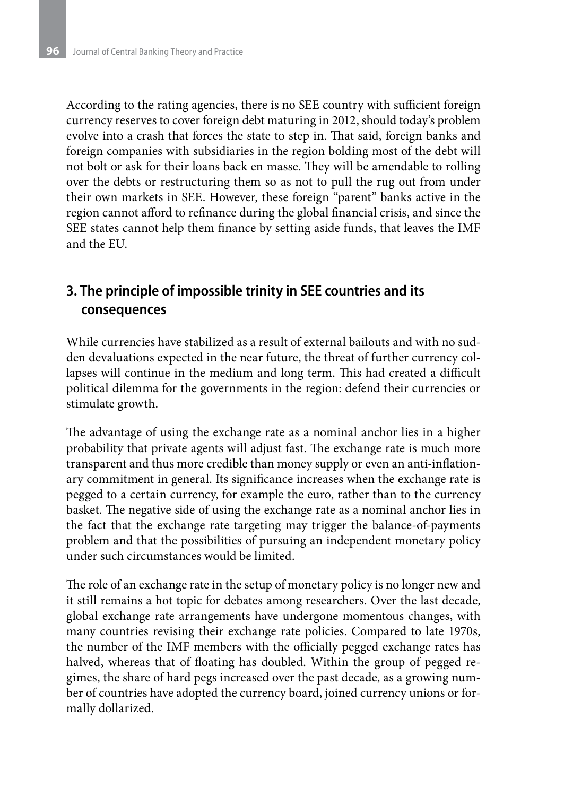According to the rating agencies, there is no SEE country with sufficient foreign currency reserves to cover foreign debt maturing in 2012, should today's problem evolve into a crash that forces the state to step in. That said, foreign banks and foreign companies with subsidiaries in the region bolding most of the debt will not bolt or ask for their loans back en masse. They will be amendable to rolling over the debts or restructuring them so as not to pull the rug out from under their own markets in SEE. However, these foreign "parent" banks active in the region cannot afford to refinance during the global financial crisis, and since the SEE states cannot help them finance by setting aside funds, that leaves the IMF and the EU.

# **3. The principle of impossible trinity in SEE countries and its consequences**

While currencies have stabilized as a result of external bailouts and with no sudden devaluations expected in the near future, the threat of further currency collapses will continue in the medium and long term. This had created a difficult political dilemma for the governments in the region: defend their currencies or stimulate growth.

The advantage of using the exchange rate as a nominal anchor lies in a higher probability that private agents will adjust fast. The exchange rate is much more transparent and thus more credible than money supply or even an anti-inflationary commitment in general. Its significance increases when the exchange rate is pegged to a certain currency, for example the euro, rather than to the currency basket. The negative side of using the exchange rate as a nominal anchor lies in the fact that the exchange rate targeting may trigger the balance-of-payments problem and that the possibilities of pursuing an independent monetary policy under such circumstances would be limited.

The role of an exchange rate in the setup of monetary policy is no longer new and it still remains a hot topic for debates among researchers. Over the last decade, global exchange rate arrangements have undergone momentous changes, with many countries revising their exchange rate policies. Compared to late 1970s, the number of the IMF members with the officially pegged exchange rates has halved, whereas that of floating has doubled. Within the group of pegged regimes, the share of hard pegs increased over the past decade, as a growing number of countries have adopted the currency board, joined currency unions or formally dollarized.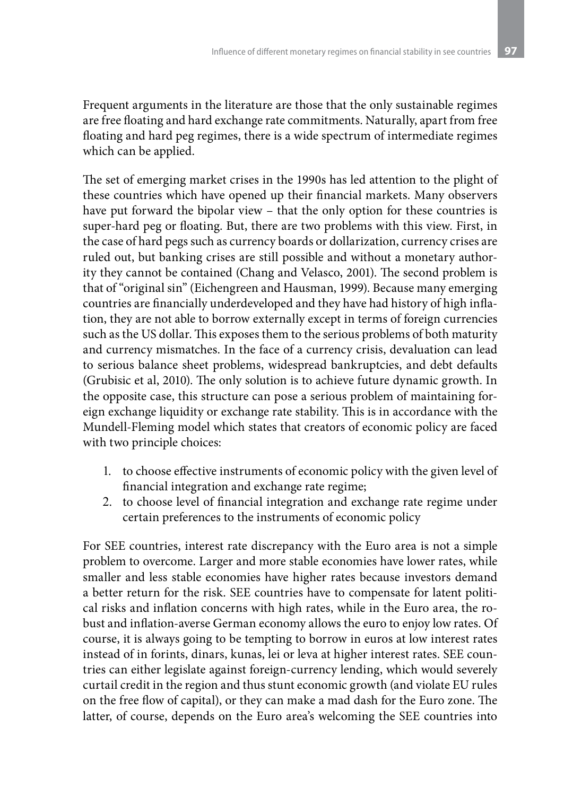Frequent arguments in the literature are those that the only sustainable regimes are free floating and hard exchange rate commitments. Naturally, apart from free floating and hard peg regimes, there is a wide spectrum of intermediate regimes which can be applied.

The set of emerging market crises in the 1990s has led attention to the plight of these countries which have opened up their financial markets. Many observers have put forward the bipolar view – that the only option for these countries is super-hard peg or floating. But, there are two problems with this view. First, in the case of hard pegs such as currency boards or dollarization, currency crises are ruled out, but banking crises are still possible and without a monetary authority they cannot be contained (Chang and Velasco, 2001). The second problem is that of "original sin" (Eichengreen and Hausman, 1999). Because many emerging countries are financially underdeveloped and they have had history of high inflation, they are not able to borrow externally except in terms of foreign currencies such as the US dollar. This exposes them to the serious problems of both maturity and currency mismatches. In the face of a currency crisis, devaluation can lead to serious balance sheet problems, widespread bankruptcies, and debt defaults (Grubisic et al, 2010). The only solution is to achieve future dynamic growth. In the opposite case, this structure can pose a serious problem of maintaining foreign exchange liquidity or exchange rate stability. This is in accordance with the Mundell-Fleming model which states that creators of economic policy are faced with two principle choices:

- 1. to choose effective instruments of economic policy with the given level of financial integration and exchange rate regime;
- 2. to choose level of financial integration and exchange rate regime under certain preferences to the instruments of economic policy

For SEE countries, interest rate discrepancy with the Euro area is not a simple problem to overcome. Larger and more stable economies have lower rates, while smaller and less stable economies have higher rates because investors demand a better return for the risk. SEE countries have to compensate for latent political risks and inflation concerns with high rates, while in the Euro area, the robust and inflation-averse German economy allows the euro to enjoy low rates. Of course, it is always going to be tempting to borrow in euros at low interest rates instead of in forints, dinars, kunas, lei or leva at higher interest rates. SEE countries can either legislate against foreign-currency lending, which would severely curtail credit in the region and thus stunt economic growth (and violate EU rules on the free flow of capital), or they can make a mad dash for the Euro zone. The latter, of course, depends on the Euro area's welcoming the SEE countries into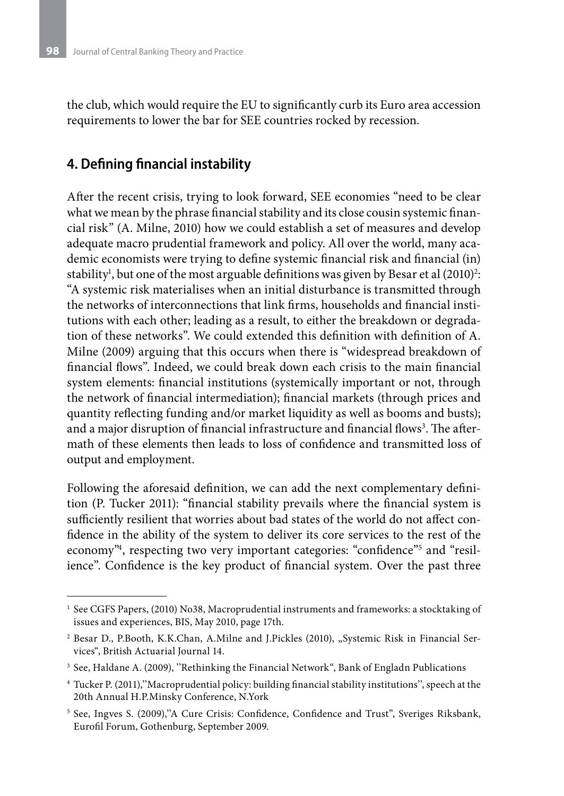the club, which would require the EU to significantly curb its Euro area accession requirements to lower the bar for SEE countries rocked by recession.

### **4. Defining financial instability**

After the recent crisis, trying to look forward, SEE economies "need to be clear what we mean by the phrase financial stability and its close cousin systemic financial risk" (A. Milne, 2010) how we could establish a set of measures and develop adequate macro prudential framework and policy. All over the world, many academic economists were trying to define systemic financial risk and financial (in) stability<sup>1</sup>, but one of the most arguable definitions was given by Besar et al  $(2010)^2$ : "A systemic risk materialises when an initial disturbance is transmitted through the networks of interconnections that link firms, households and financial institutions with each other; leading as a result, to either the breakdown or degradation of these networks". We could extended this definition with definition of A. Milne (2009) arguing that this occurs when there is "widespread breakdown of financial flows". Indeed, we could break down each crisis to the main financial system elements: financial institutions (systemically important or not, through the network of financial intermediation); financial markets (through prices and quantity reflecting funding and/or market liquidity as well as booms and busts); and a major disruption of financial infrastructure and financial flows $^3.$  The aftermath of these elements then leads to loss of confidence and transmitted loss of output and employment.

Following the aforesaid definition, we can add the next complementary definition (P. Tucker 2011): "financial stability prevails where the financial system is sufficiently resilient that worries about bad states of the world do not affect confidence in the ability of the system to deliver its core services to the rest of the economy"<sup>4</sup>, respecting two very important categories: "confidence"<sup>5</sup> and "resilience". Confidence is the key product of financial system. Over the past three

 $^1$  See CGFS Papers, (2010) No38, Macroprudential instruments and frameworks: a stocktaking of issues and experiences, BIS, May 2010, page 17th.

<sup>&</sup>lt;sup>2</sup> Besar D., P.Booth, K.K.Chan, A.Milne and J.Pickles (2010), "Systemic Risk in Financial Services", British Actuarial Journal 14.

<sup>&</sup>lt;sup>3</sup> See, Haldane A. (2009), "Rethinking the Financial Network", Bank of Engladn Publications

<sup>4</sup> Tucker P. (2011),''Macroprudential policy: building financial stability institutions'', speech at the 20th Annual H.P.Minsky Conference, N.York

<sup>5</sup> See, Ingves S. (2009),''A Cure Crisis: Confidence, Confidence and Trust", Sveriges Riksbank, Eurofil Forum, Gothenburg, September 2009.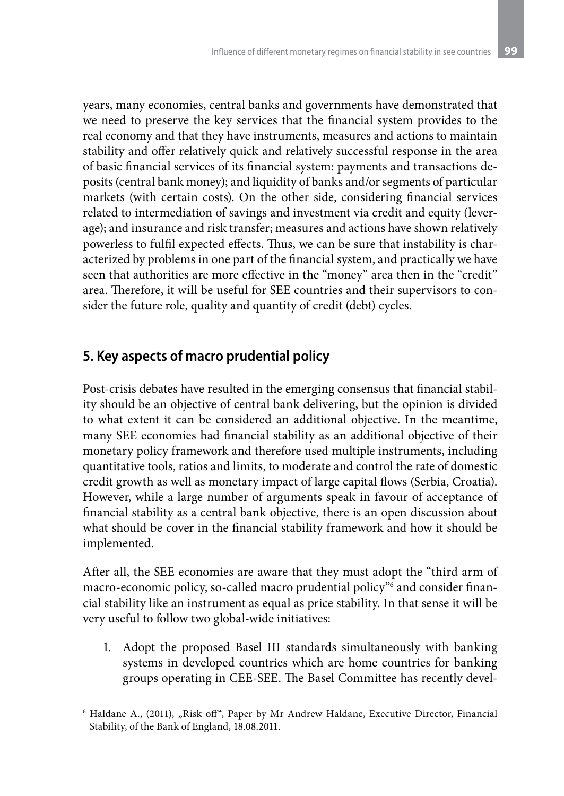years, many economies, central banks and governments have demonstrated that we need to preserve the key services that the financial system provides to the real economy and that they have instruments, measures and actions to maintain stability and offer relatively quick and relatively successful response in the area of basic financial services of its financial system: payments and transactions deposits (central bank money); and liquidity of banks and/or segments of particular markets (with certain costs). On the other side, considering financial services related to intermediation of savings and investment via credit and equity (leverage); and insurance and risk transfer; measures and actions have shown relatively powerless to fulfil expected effects. Thus, we can be sure that instability is characterized by problems in one part of the financial system, and practically we have seen that authorities are more effective in the "money" area then in the "credit" area. Therefore, it will be useful for SEE countries and their supervisors to consider the future role, quality and quantity of credit (debt) cycles.

# **5. Key aspects of macro prudential policy**

Post-crisis debates have resulted in the emerging consensus that financial stability should be an objective of central bank delivering, but the opinion is divided to what extent it can be considered an additional objective. In the meantime, many SEE economies had financial stability as an additional objective of their monetary policy framework and therefore used multiple instruments, including quantitative tools, ratios and limits, to moderate and control the rate of domestic credit growth as well as monetary impact of large capital flows (Serbia, Croatia). However, while a large number of arguments speak in favour of acceptance of financial stability as a central bank objective, there is an open discussion about what should be cover in the financial stability framework and how it should be implemented.

After all, the SEE economies are aware that they must adopt the "third arm of macro-economic policy, so-called macro prudential policy"6 and consider financial stability like an instrument as equal as price stability. In that sense it will be very useful to follow two global-wide initiatives:

1. Adopt the proposed Basel III standards simultaneously with banking systems in developed countries which are home countries for banking groups operating in CEE-SEE. The Basel Committee has recently devel-

<sup>&</sup>lt;sup>6</sup> Haldane A., (2011), "Risk off", Paper by Mr Andrew Haldane, Executive Director, Financial Stability, of the Bank of England, 18.08.2011.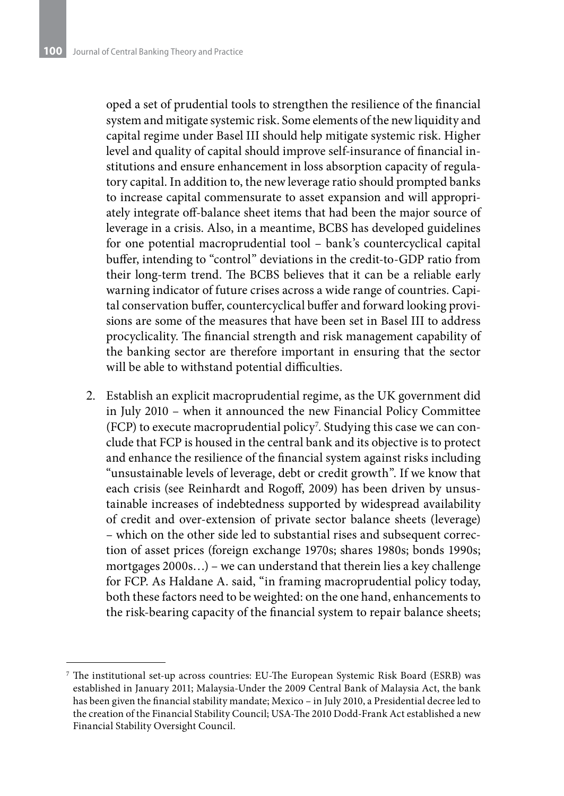oped a set of prudential tools to strengthen the resilience of the financial system and mitigate systemic risk. Some elements of the new liquidity and capital regime under Basel III should help mitigate systemic risk. Higher level and quality of capital should improve self-insurance of financial institutions and ensure enhancement in loss absorption capacity of regulatory capital. In addition to, the new leverage ratio should prompted banks to increase capital commensurate to asset expansion and will appropriately integrate off-balance sheet items that had been the major source of leverage in a crisis. Also, in a meantime, BCBS has developed guidelines for one potential macroprudential tool – bank's countercyclical capital buffer, intending to "control" deviations in the credit-to-GDP ratio from their long-term trend. The BCBS believes that it can be a reliable early warning indicator of future crises across a wide range of countries. Capital conservation buffer, countercyclical buffer and forward looking provisions are some of the measures that have been set in Basel III to address procyclicality. The financial strength and risk management capability of the banking sector are therefore important in ensuring that the sector will be able to withstand potential difficulties.

2. Establish an explicit macroprudential regime, as the UK government did in July 2010 – when it announced the new Financial Policy Committee (FCP) to execute macroprudential policy<sup>7</sup>. Studying this case we can conclude that FCP is housed in the central bank and its objective is to protect and enhance the resilience of the financial system against risks including "unsustainable levels of leverage, debt or credit growth". If we know that each crisis (see Reinhardt and Rogoff, 2009) has been driven by unsustainable increases of indebtedness supported by widespread availability of credit and over-extension of private sector balance sheets (leverage) – which on the other side led to substantial rises and subsequent correction of asset prices (foreign exchange 1970s; shares 1980s; bonds 1990s; mortgages 2000s…) – we can understand that therein lies a key challenge for FCP. As Haldane A. said, "in framing macroprudential policy today, both these factors need to be weighted: on the one hand, enhancements to the risk-bearing capacity of the financial system to repair balance sheets;

<sup>7</sup> The institutional set-up across countries: EU-The European Systemic Risk Board (ESRB) was established in January 2011; Malaysia-Under the 2009 Central Bank of Malaysia Act, the bank has been given the financial stability mandate; Mexico – in July 2010, a Presidential decree led to the creation of the Financial Stability Council; USA-The 2010 Dodd-Frank Act established a new Financial Stability Oversight Council.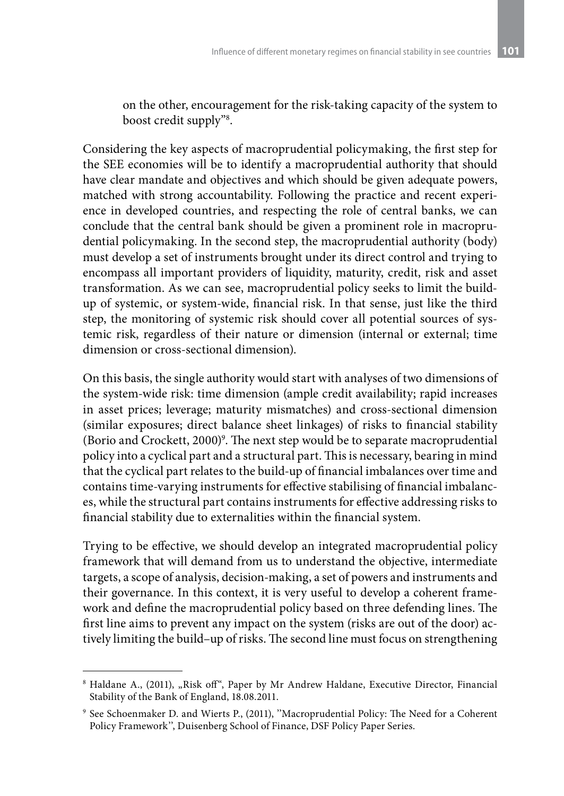on the other, encouragement for the risk-taking capacity of the system to boost credit supply"8 .

Considering the key aspects of macroprudential policymaking, the first step for the SEE economies will be to identify a macroprudential authority that should have clear mandate and objectives and which should be given adequate powers, matched with strong accountability. Following the practice and recent experience in developed countries, and respecting the role of central banks, we can conclude that the central bank should be given a prominent role in macroprudential policymaking. In the second step, the macroprudential authority (body) must develop a set of instruments brought under its direct control and trying to encompass all important providers of liquidity, maturity, credit, risk and asset transformation. As we can see, macroprudential policy seeks to limit the buildup of systemic, or system-wide, financial risk. In that sense, just like the third step, the monitoring of systemic risk should cover all potential sources of systemic risk, regardless of their nature or dimension (internal or external; time dimension or cross-sectional dimension).

On this basis, the single authority would start with analyses of two dimensions of the system-wide risk: time dimension (ample credit availability; rapid increases in asset prices; leverage; maturity mismatches) and cross-sectional dimension (similar exposures; direct balance sheet linkages) of risks to financial stability (Borio and Crockett, 2000)<sup>9</sup>. The next step would be to separate macroprudential policy into a cyclical part and a structural part. This is necessary, bearing in mind that the cyclical part relates to the build-up of financial imbalances over time and contains time-varying instruments for effective stabilising of financial imbalances, while the structural part contains instruments for effective addressing risks to financial stability due to externalities within the financial system.

Trying to be effective, we should develop an integrated macroprudential policy framework that will demand from us to understand the objective, intermediate targets, a scope of analysis, decision-making, a set of powers and instruments and their governance. In this context, it is very useful to develop a coherent framework and define the macroprudential policy based on three defending lines. The first line aims to prevent any impact on the system (risks are out of the door) actively limiting the build–up of risks. The second line must focus on strengthening

<sup>8</sup> Haldane A., (2011), "Risk off", Paper by Mr Andrew Haldane, Executive Director, Financial Stability of the Bank of England, 18.08.2011.

<sup>9</sup> See Schoenmaker D. and Wierts P., (2011), ''Macroprudential Policy: The Need for a Coherent Policy Framework'', Duisenberg School of Finance, DSF Policy Paper Series.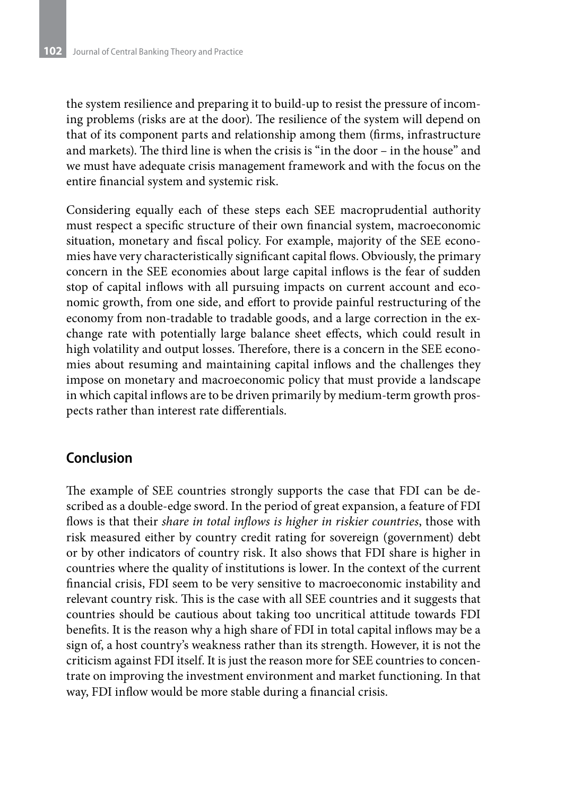the system resilience and preparing it to build-up to resist the pressure of incoming problems (risks are at the door). The resilience of the system will depend on that of its component parts and relationship among them (firms, infrastructure and markets). The third line is when the crisis is "in the door – in the house" and we must have adequate crisis management framework and with the focus on the entire financial system and systemic risk.

Considering equally each of these steps each SEE macroprudential authority must respect a specific structure of their own financial system, macroeconomic situation, monetary and fiscal policy. For example, majority of the SEE economies have very characteristically significant capital flows. Obviously, the primary concern in the SEE economies about large capital inflows is the fear of sudden stop of capital inflows with all pursuing impacts on current account and economic growth, from one side, and effort to provide painful restructuring of the economy from non-tradable to tradable goods, and a large correction in the exchange rate with potentially large balance sheet effects, which could result in high volatility and output losses. Therefore, there is a concern in the SEE economies about resuming and maintaining capital inflows and the challenges they impose on monetary and macroeconomic policy that must provide a landscape in which capital inflows are to be driven primarily by medium-term growth prospects rather than interest rate differentials.

### **Conclusion**

The example of SEE countries strongly supports the case that FDI can be described as a double-edge sword. In the period of great expansion, a feature of FDI flows is that their *share in total inflows is higher in riskier countries*, those with risk measured either by country credit rating for sovereign (government) debt or by other indicators of country risk. It also shows that FDI share is higher in countries where the quality of institutions is lower. In the context of the current financial crisis, FDI seem to be very sensitive to macroeconomic instability and relevant country risk. This is the case with all SEE countries and it suggests that countries should be cautious about taking too uncritical attitude towards FDI benefits. It is the reason why a high share of FDI in total capital inflows may be a sign of, a host country's weakness rather than its strength. However, it is not the criticism against FDI itself. It is just the reason more for SEE countries to concentrate on improving the investment environment and market functioning. In that way, FDI inflow would be more stable during a financial crisis.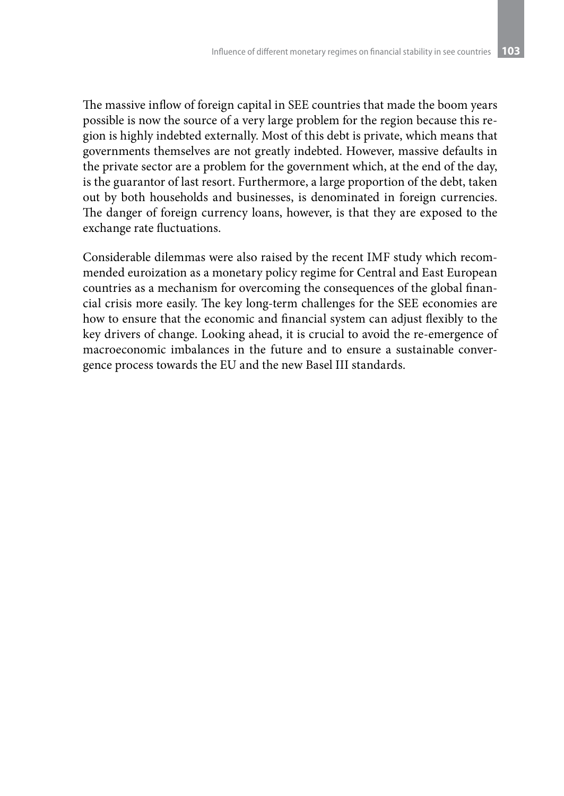The massive inflow of foreign capital in SEE countries that made the boom years possible is now the source of a very large problem for the region because this region is highly indebted externally. Most of this debt is private, which means that governments themselves are not greatly indebted. However, massive defaults in the private sector are a problem for the government which, at the end of the day, is the guarantor of last resort. Furthermore, a large proportion of the debt, taken out by both households and businesses, is denominated in foreign currencies. The danger of foreign currency loans, however, is that they are exposed to the exchange rate fluctuations.

Considerable dilemmas were also raised by the recent IMF study which recommended euroization as a monetary policy regime for Central and East European countries as a mechanism for overcoming the consequences of the global financial crisis more easily. The key long-term challenges for the SEE economies are how to ensure that the economic and financial system can adjust flexibly to the key drivers of change. Looking ahead, it is crucial to avoid the re-emergence of macroeconomic imbalances in the future and to ensure a sustainable convergence process towards the EU and the new Basel III standards.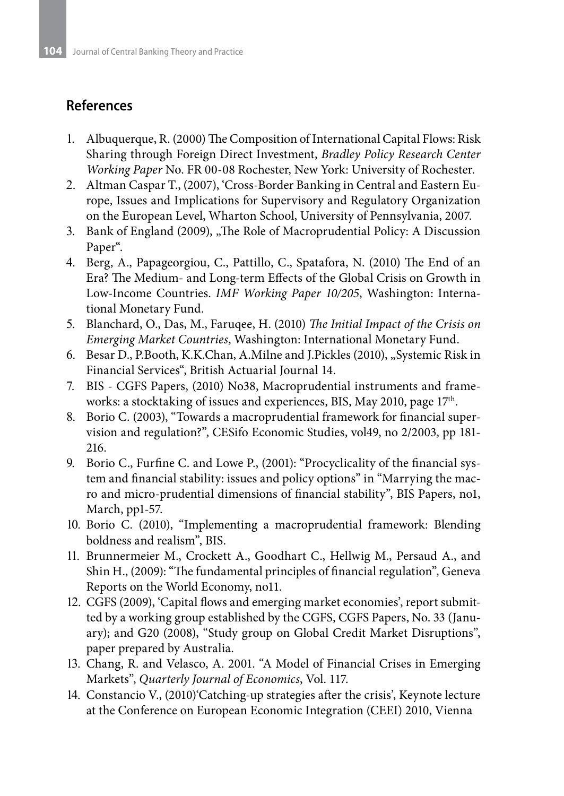# **References**

- 1. Albuquerque, R. (2000) The Composition of International Capital Flows: Risk Sharing through Foreign Direct Investment, *Bradley Policy Research Center Working Paper* No. FR 00-08 Rochester, New York: University of Rochester.
- 2. Altman Caspar T., (2007), 'Cross-Border Banking in Central and Eastern Europe, Issues and Implications for Supervisory and Regulatory Organization on the European Level, Wharton School, University of Pennsylvania, 2007.
- 3. Bank of England (2009), "The Role of Macroprudential Policy: A Discussion Paper".
- 4. Berg, A., Papageorgiou, C., Pattillo, C., Spatafora, N. (2010) The End of an Era? The Medium- and Long-term Effects of the Global Crisis on Growth in Low-Income Countries. *IMF Working Paper 10/205*, Washington: International Monetary Fund.
- 5. Blanchard, O., Das, M., Faruqee, H. (2010) *The Initial Impact of the Crisis on Emerging Market Countries*, Washington: International Monetary Fund.
- 6. Besar D., P.Booth, K.K.Chan, A.Milne and J.Pickles (2010), "Systemic Risk in Financial Services", British Actuarial Journal 14.
- 7. BIS CGFS Papers, (2010) No38, Macroprudential instruments and frameworks: a stocktaking of issues and experiences, BIS, May 2010, page 17<sup>th</sup>.
- 8. Borio C. (2003), "Towards a macroprudential framework for financial supervision and regulation?", CESifo Economic Studies, vol49, no 2/2003, pp 181- 216.
- 9. Borio C., Furfine C. and Lowe P., (2001): "Procyclicality of the financial system and financial stability: issues and policy options" in "Marrying the macro and micro-prudential dimensions of financial stability", BIS Papers, no1, March, pp1-57.
- 10. Borio C. (2010), "Implementing a macroprudential framework: Blending boldness and realism", BIS.
- 11. Brunnermeier M., Crockett A., Goodhart C., Hellwig M., Persaud A., and Shin H., (2009): "The fundamental principles of financial regulation", Geneva Reports on the World Economy, no11.
- 12. CGFS (2009), 'Capital flows and emerging market economies', report submitted by a working group established by the CGFS, CGFS Papers, No. 33 (January); and G20 (2008), "Study group on Global Credit Market Disruptions", paper prepared by Australia.
- 13. Chang, R. and Velasco, A. 2001. "A Model of Financial Crises in Emerging Markets", *Quarterly Journal of Economics*, Vol. 117.
- 14. Constancio V., (2010)'Catching-up strategies after the crisis', Keynote lecture at the Conference on European Economic Integration (CEEI) 2010, Vienna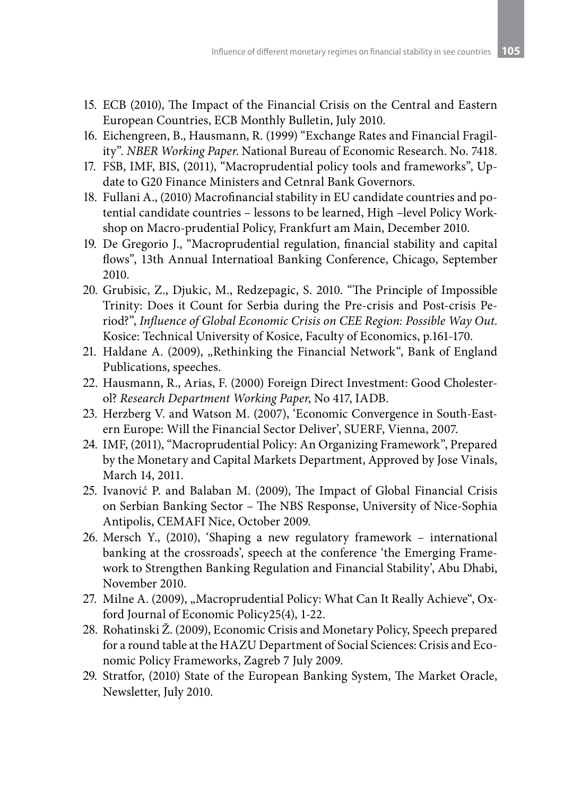- 15. ECB (2010), The Impact of the Financial Crisis on the Central and Eastern European Countries, ECB Monthly Bulletin, July 2010.
- 16. Eichengreen, B., Hausmann, R. (1999) "Exchange Rates and Financial Fragility". *NBER Working Paper*. National Bureau of Economic Research. No. 7418.
- 17. FSB, IMF, BIS, (2011), "Macroprudential policy tools and frameworks", Update to G20 Finance Ministers and Cetnral Bank Governors.
- 18. Fullani A., (2010) Macrofinancial stability in EU candidate countries and potential candidate countries – lessons to be learned, High –level Policy Workshop on Macro-prudential Policy, Frankfurt am Main, December 2010.
- 19. De Gregorio J., "Macroprudential regulation, financial stability and capital flows", 13th Annual Internatioal Banking Conference, Chicago, September 2010.
- 20. Grubisic, Z., Djukic, M., Redzepagic, S. 2010. "The Principle of Impossible Trinity: Does it Count for Serbia during the Pre-crisis and Post-crisis Period?", *Influence of Global Economic Crisis on CEE Region: Possible Way Out*. Kosice: Technical University of Kosice, Faculty of Economics, p.161-170.
- 21. Haldane A. (2009), "Rethinking the Financial Network", Bank of England Publications, speeches.
- 22. Hausmann, R., Arias, F. (2000) Foreign Direct Investment: Good Cholesterol? *Research Department Working Paper*, No 417, IADB.
- 23. Herzberg V. and Watson M. (2007), 'Economic Convergence in South-Eastern Europe: Will the Financial Sector Deliver', SUERF, Vienna, 2007.
- 24. IMF, (2011), "Macroprudential Policy: An Organizing Framework", Prepared by the Monetary and Capital Markets Department, Approved by Jose Vinals, March 14, 2011.
- 25. Ivanović P. and Balaban M. (2009), The Impact of Global Financial Crisis on Serbian Banking Sector – The NBS Response, University of Nice-Sophia Antipolis, CEMAFI Nice, October 2009.
- 26. Mersch Y., (2010), 'Shaping a new regulatory framework international banking at the crossroads', speech at the conference 'the Emerging Framework to Strengthen Banking Regulation and Financial Stability', Abu Dhabi, November 2010.
- 27. Milne A. (2009), "Macroprudential Policy: What Can It Really Achieve", Oxford Journal of Economic Policy25(4), 1-22.
- 28. Rohatinski Ž. (2009), Economic Crisis and Monetary Policy, Speech prepared for a round table at the HAZU Department of Social Sciences: Crisis and Economic Policy Frameworks, Zagreb 7 July 2009.
- 29. Stratfor, (2010) State of the European Banking System, The Market Oracle, Newsletter, July 2010.